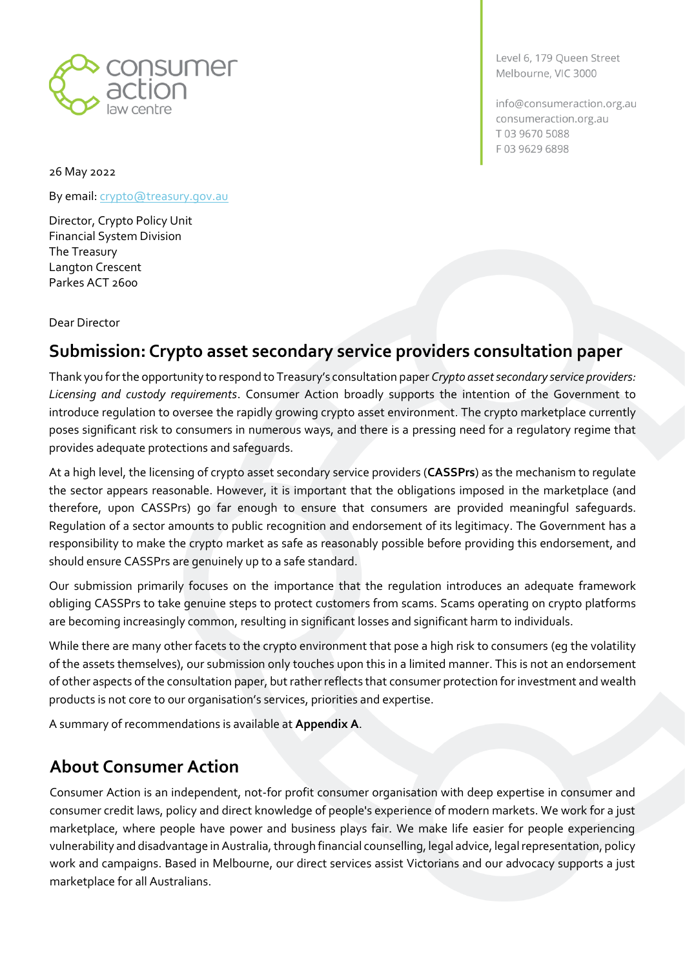

Level 6, 179 Queen Street Melbourne, VIC 3000

info@consumeraction.org.au consumeraction.org.au T03 9670 5088 F0396296898

26 May 2022

By email: *crypto@treasury.gov.au* 

Director, Crypto Policy Unit Financial System Division The Treasury Langton Crescent Parkes ACT 2600

Dear Director

## **Submission: Crypto asset secondary service providers consultation paper**

Thank you for the opportunity to respond to Treasury's consultation paper *Crypto asset secondary service providers: Licensing and custody requirements*. Consumer Action broadly supports the intention of the Government to introduce regulation to oversee the rapidly growing crypto asset environment. The crypto marketplace currently poses significant risk to consumers in numerous ways, and there is a pressing need for a regulatory regime that provides adequate protections and safeguards.

At a high level, the licensing of crypto asset secondary service providers (**CASSPrs**) as the mechanism to regulate the sector appears reasonable. However, it is important that the obligations imposed in the marketplace (and therefore, upon CASSPrs) go far enough to ensure that consumers are provided meaningful safeguards. Regulation of a sector amounts to public recognition and endorsement of its legitimacy. The Government has a responsibility to make the crypto market as safe as reasonably possible before providing this endorsement, and should ensure CASSPrs are genuinely up to a safe standard.

Our submission primarily focuses on the importance that the regulation introduces an adequate framework obliging CASSPrs to take genuine steps to protect customers from scams. Scams operating on crypto platforms are becoming increasingly common, resulting in significant losses and significant harm to individuals.

While there are many other facets to the crypto environment that pose a high risk to consumers (eg the volatility of the assets themselves), our submission only touches upon this in a limited manner. This is not an endorsement of other aspects of the consultation paper, but rather reflects that consumer protection for investment and wealth products is not core to our organisation's services, priorities and expertise.

A summary of recommendations is available at **Appendix A**.

# **About Consumer Action**

Consumer Action is an independent, not-for profit consumer organisation with deep expertise in consumer and consumer credit laws, policy and direct knowledge of people's experience of modern markets. We work for a just marketplace, where people have power and business plays fair. We make life easier for people experiencing vulnerability and disadvantage in Australia, through financial counselling, legal advice, legal representation, policy work and campaigns. Based in Melbourne, our direct services assist Victorians and our advocacy supports a just marketplace for all Australians.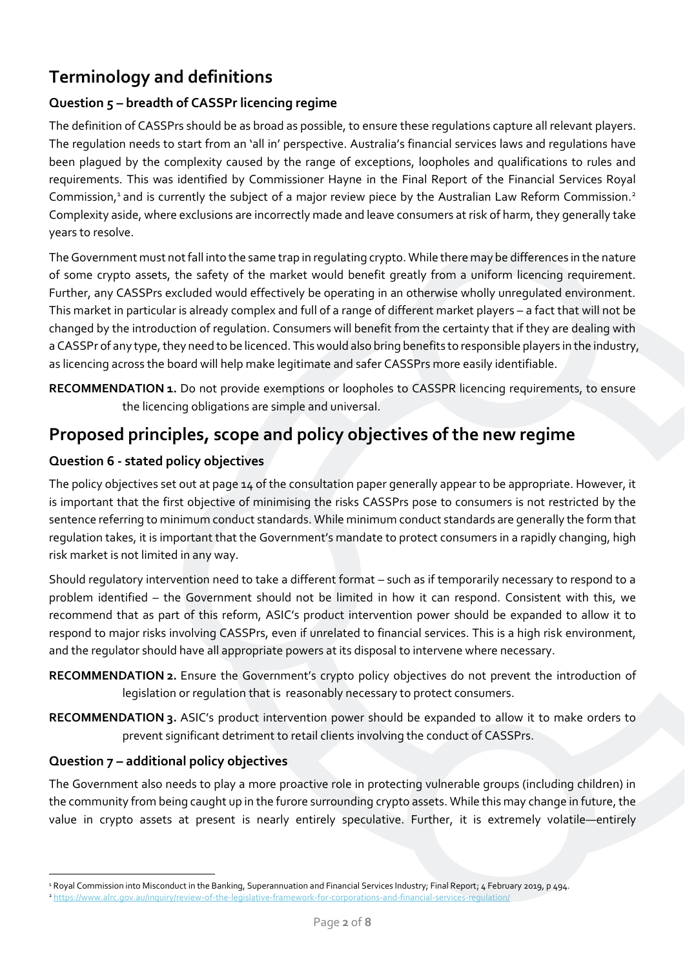# **Terminology and definitions**

#### **Question 5 – breadth of CASSPr licencing regime**

The definition of CASSPrs should be as broad as possible, to ensure these regulations capture all relevant players. The regulation needs to start from an 'all in' perspective. Australia's financial services laws and regulations have been plagued by the complexity caused by the range of exceptions, loopholes and qualifications to rules and requirements. This was identified by Commissioner Hayne in the Final Report of the Financial Services Royal Commission,<sup>1</sup> and is currently the subject of a major review piece by the Australian Law Reform Commission.<sup>2</sup> Complexity aside, where exclusions are incorrectly made and leave consumers at risk of harm, they generally take years to resolve.

The Government must not fall into the same trap in regulating crypto. While there may be differences in the nature of some crypto assets, the safety of the market would benefit greatly from a uniform licencing requirement. Further, any CASSPrs excluded would effectively be operating in an otherwise wholly unregulated environment. This market in particular is already complex and full of a range of different market players – a fact that will not be changed by the introduction of regulation. Consumers will benefit from the certainty that if they are dealing with a CASSPr of any type, they need to be licenced. This would also bring benefits to responsible players in the industry, as licencing across the board will help make legitimate and safer CASSPrs more easily identifiable.

<span id="page-1-0"></span>**RECOMMENDATION 1.** Do not provide exemptions or loopholes to CASSPR licencing requirements, to ensure the licencing obligations are simple and universal.

## **Proposed principles, scope and policy objectives of the new regime**

#### **Question 6 - stated policy objectives**

The policy objectives set out at page 14 of the consultation paper generally appear to be appropriate. However, it is important that the first objective of minimising the risks CASSPrs pose to consumers is not restricted by the sentence referring to minimum conduct standards. While minimum conduct standards are generally the form that regulation takes, it is important that the Government's mandate to protect consumers in a rapidly changing, high risk market is not limited in any way.

Should regulatory intervention need to take a different format – such as if temporarily necessary to respond to a problem identified – the Government should not be limited in how it can respond. Consistent with this, we recommend that as part of this reform, ASIC's product intervention power should be expanded to allow it to respond to major risks involving CASSPrs, even if unrelated to financial services. This is a high risk environment, and the regulator should have all appropriate powers at its disposal to intervene where necessary.

<span id="page-1-1"></span>**RECOMMENDATION 2.** Ensure the Government's crypto policy objectives do not prevent the introduction of legislation or regulation that is reasonably necessary to protect consumers.

<span id="page-1-2"></span>**RECOMMENDATION 3.** ASIC's product intervention power should be expanded to allow it to make orders to prevent significant detriment to retail clients involving the conduct of CASSPrs.

#### **Question 7 – additional policy objectives**

The Government also needs to play a more proactive role in protecting vulnerable groups (including children) in the community from being caught up in the furore surrounding crypto assets. While this may change in future, the value in crypto assets at present is nearly entirely speculative. Further, it is extremely volatile—entirely

<sup>&</sup>lt;sup>1</sup> Royal Commission into Misconduct in the Banking, Superannuation and Financial Services Industry; Final Report; 4 February 2019, p 494.

<sup>&</sup>lt;sup>2</sup> https://www.alrc.gov.au/inquiry/review-of-the-legislative-framework-for-corporations-and-financial-services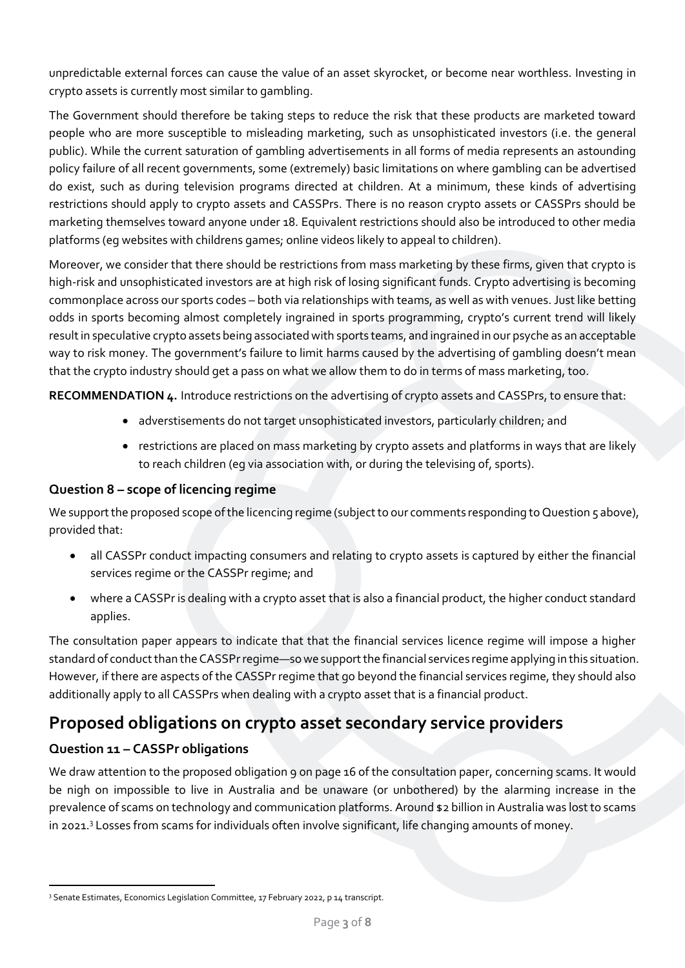unpredictable external forces can cause the value of an asset skyrocket, or become near worthless. Investing in crypto assets is currently most similar to gambling.

The Government should therefore be taking steps to reduce the risk that these products are marketed toward people who are more susceptible to misleading marketing, such as unsophisticated investors (i.e. the general public). While the current saturation of gambling advertisements in all forms of media represents an astounding policy failure of all recent governments, some (extremely) basic limitations on where gambling can be advertised do exist, such as during television programs directed at children. At a minimum, these kinds of advertising restrictions should apply to crypto assets and CASSPrs. There is no reason crypto assets or CASSPrs should be marketing themselves toward anyone under 18. Equivalent restrictions should also be introduced to other media platforms (eg websites with childrens games; online videos likely to appeal to children).

Moreover, we consider that there should be restrictions from mass marketing by these firms, given that crypto is high-risk and unsophisticated investors are at high risk of losing significant funds. Crypto advertising is becoming commonplace across our sports codes – both via relationships with teams, as well as with venues. Just like betting odds in sports becoming almost completely ingrained in sports programming, crypto's current trend will likely result in speculative crypto assets being associated with sports teams, and ingrained in our psyche as an acceptable way to risk money. The government's failure to limit harms caused by the advertising of gambling doesn't mean that the crypto industry should get a pass on what we allow them to do in terms of mass marketing, too.

<span id="page-2-1"></span><span id="page-2-0"></span>**RECOMMENDATION 4.** Introduce restrictions on the advertising of crypto assets and CASSPrs, to ensure that:

- adverstisements do not target unsophisticated investors, particularly children; and
- restrictions are placed on mass marketing by crypto assets and platforms in ways that are likely to reach children (eg via association with, or during the televising of, sports).

#### <span id="page-2-2"></span>**Question 8 – scope of licencing regime**

We support the proposed scope of the licencing regime (subject to our comments responding to Question 5 above), provided that:

- all CASSPr conduct impacting consumers and relating to crypto assets is captured by either the financial services regime or the CASSPr regime; and
- where a CASSPr is dealing with a crypto asset that is also a financial product, the higher conduct standard applies.

The consultation paper appears to indicate that that the financial services licence regime will impose a higher standard of conduct than the CASSPr regime—so we support the financial services regime applying in this situation. However, if there are aspects of the CASSPr regime that go beyond the financial services regime, they should also additionally apply to all CASSPrs when dealing with a crypto asset that is a financial product.

### **Proposed obligations on crypto asset secondary service providers**

#### **Question 11 – CASSPr obligations**

We draw attention to the proposed obligation 9 on page 16 of the consultation paper, concerning scams. It would be nigh on impossible to live in Australia and be unaware (or unbothered) by the alarming increase in the prevalence of scams on technology and communication platforms. Around \$2 billion in Australia was lost to scams in 2021.<sup>3</sup> Losses from scams for individuals often involve significant, life changing amounts of money.

<sup>&</sup>lt;sup>3</sup> Senate Estimates, Economics Legislation Committee, 17 February 2022, p 14 transcript.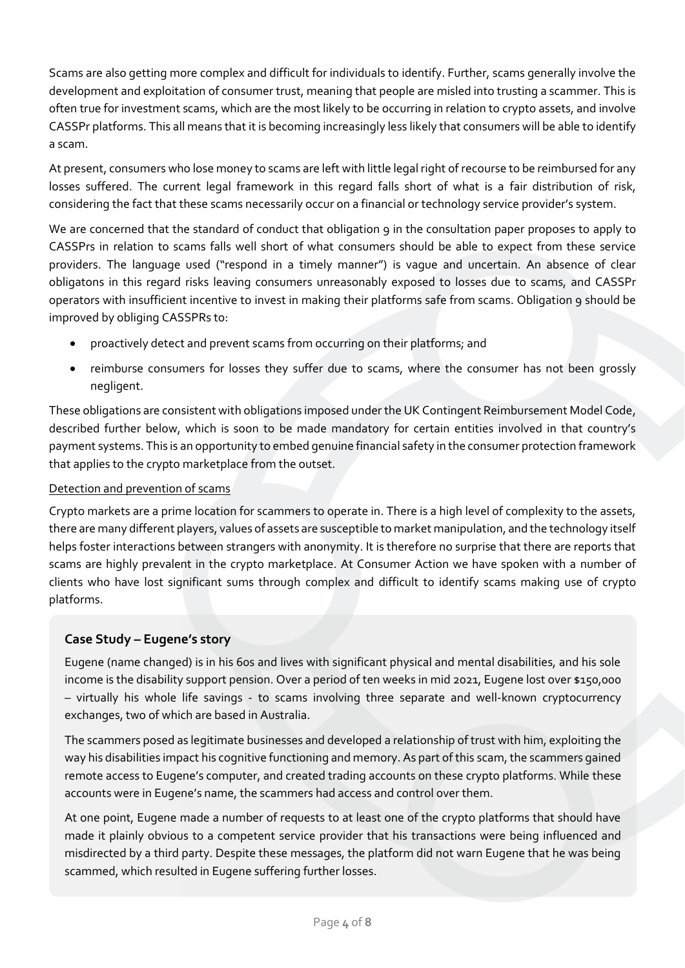Scams are also getting more complex and difficult for individuals to identify. Further, scams generally involve the development and exploitation of consumer trust, meaning that people are misled into trusting a scammer. This is often true for investment scams, which are the most likely to be occurring in relation to crypto assets, and involve CASSPr platforms. This all means that it is becoming increasingly less likely that consumers will be able to identify a scam.

At present, consumers who lose money to scams are left with little legal right of recourse to be reimbursed for any losses suffered. The current legal framework in this regard falls short of what is a fair distribution of risk, considering the fact that these scams necessarily occur on a financial or technology service provider's system.

We are concerned that the standard of conduct that obligation 9 in the consultation paper proposes to apply to CASSPrs in relation to scams falls well short of what consumers should be able to expect from these service providers. The language used ("respond in a timely manner") is vague and uncertain. An absence of clear obligatons in this regard risks leaving consumers unreasonably exposed to losses due to scams, and CASSPr operators with insufficient incentive to invest in making their platforms safe from scams. Obligation 9 should be improved by obliging CASSPRs to:

- proactively detect and prevent scams from occurring on their platforms; and
- reimburse consumers for losses they suffer due to scams, where the consumer has not been grossly negligent.

These obligations are consistent with obligations imposed under the UK Contingent Reimbursement Model Code, described further below, which is soon to be made mandatory for certain entities involved in that country's payment systems. This is an opportunity to embed genuine financial safety in the consumer protection framework that applies to the crypto marketplace from the outset.

#### Detection and prevention of scams

Crypto markets are a prime location for scammers to operate in. There is a high level of complexity to the assets, there are many different players, values of assets are susceptible to market manipulation, and the technology itself helps foster interactions between strangers with anonymity. It is therefore no surprise that there are reports that scams are highly prevalent in the crypto marketplace. At Consumer Action we have spoken with a number of clients who have lost significant sums through complex and difficult to identify scams making use of crypto platforms.

#### **Case Study – Eugene's story**

Eugene (name changed) is in his 60s and lives with significant physical and mental disabilities, and his sole income is the disability support pension. Over a period of ten weeks in mid 2021, Eugene lost over \$150,000 – virtually his whole life savings - to scams involving three separate and well-known cryptocurrency exchanges, two of which are based in Australia.

The scammers posed as legitimate businesses and developed a relationship of trust with him, exploiting the way his disabilities impact his cognitive functioning and memory. As part of this scam, the scammers gained remote access to Eugene's computer, and created trading accounts on these crypto platforms. While these accounts were in Eugene's name, the scammers had access and control over them.

At one point, Eugene made a number of requests to at least one of the crypto platforms that should have made it plainly obvious to a competent service provider that his transactions were being influenced and misdirected by a third party. Despite these messages, the platform did not warn Eugene that he was being scammed, which resulted in Eugene suffering further losses.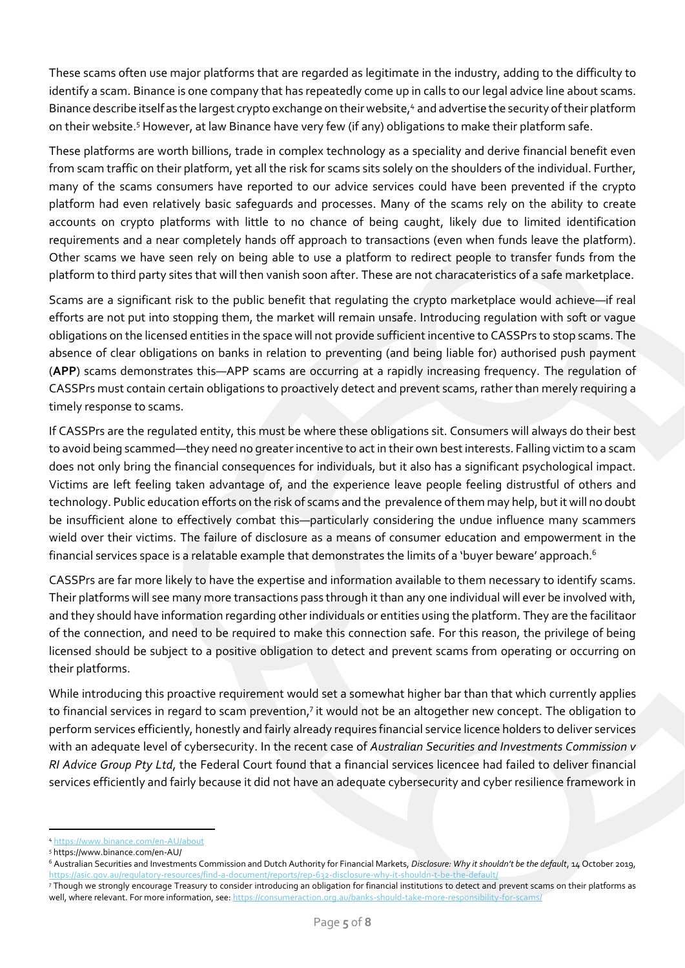These scams often use major platforms that are regarded as legitimate in the industry, adding to the difficulty to identify a scam. Binance is one company that has repeatedly come up in calls to our legal advice line about scams. Binance describe itself as the largest crypto exchange on their website,<sup>4</sup> and advertise the security of their platform on their website.<sup>5</sup> However, at law Binance have very few (if any) obligations to make their platform safe.

These platforms are worth billions, trade in complex technology as a speciality and derive financial benefit even from scam traffic on their platform, yet all the risk for scams sits solely on the shoulders of the individual. Further, many of the scams consumers have reported to our advice services could have been prevented if the crypto platform had even relatively basic safeguards and processes. Many of the scams rely on the ability to create accounts on crypto platforms with little to no chance of being caught, likely due to limited identification requirements and a near completely hands off approach to transactions (even when funds leave the platform). Other scams we have seen rely on being able to use a platform to redirect people to transfer funds from the platform to third party sites that will then vanish soon after. These are not characateristics of a safe marketplace.

Scams are a significant risk to the public benefit that regulating the crypto marketplace would achieve—if real efforts are not put into stopping them, the market will remain unsafe. Introducing regulation with soft or vague obligations on the licensed entities in the space will not provide sufficient incentive to CASSPrs to stop scams. The absence of clear obligations on banks in relation to preventing (and being liable for) authorised push payment (**APP**) scams demonstrates this—APP scams are occurring at a rapidly increasing frequency. The regulation of CASSPrs must contain certain obligations to proactively detect and prevent scams, rather than merely requiring a timely response to scams.

If CASSPrs are the regulated entity, this must be where these obligations sit. Consumers will always do their best to avoid being scammed—they need no greater incentive to act in their own best interests. Falling victim to a scam does not only bring the financial consequences for individuals, but it also has a significant psychological impact. Victims are left feeling taken advantage of, and the experience leave people feeling distrustful of others and technology. Public education efforts on the risk of scams and the prevalence of them may help, but it will no doubt be insufficient alone to effectively combat this—particularly considering the undue influence many scammers wield over their victims. The failure of disclosure as a means of consumer education and empowerment in the financial services space is a relatable example that demonstrates the limits of a 'buyer beware' approach.<sup>6</sup>

CASSPrs are far more likely to have the expertise and information available to them necessary to identify scams. Their platforms will see many more transactions pass through it than any one individual will ever be involved with, and they should have information regarding other individuals or entities using the platform. They are the facilitaor of the connection, and need to be required to make this connection safe. For this reason, the privilege of being licensed should be subject to a positive obligation to detect and prevent scams from operating or occurring on their platforms.

While introducing this proactive requirement would set a somewhat higher bar than that which currently applies to financial services in regard to scam prevention,<sup>7</sup> it would not be an altogether new concept. The obligation to perform services efficiently, honestly and fairly already requires financial service licence holders to deliver services with an adequate level of cybersecurity. In the recent case of *Australian Securities and Investments Commission v RI Advice Group Pty Ltd*, the Federal Court found that a financial services licencee had failed to deliver financial services efficiently and fairly because it did not have an adequate cybersecurity and cyber resilience framework in

<sup>4</sup> <https://www.binance.com/en-AU/about>

<sup>5</sup> https://www.binance.com/en-AU/

<sup>6</sup> Australian Securities and Investments Commission and Dutch Authority for Financial Markets, *Disclosure: Why it shouldn't be the default*, 14 October 2019, <https://asic.gov.au/regulatory-resources/find-a-document/reports/rep-632-disclosure-why-it-shouldn-t-be-the-default/>

<sup>7</sup> Though we strongly encourage Treasury to consider introducing an obligation for financial institutions to detect and prevent scams on their platforms as well, where relevant. For more information, see: https://consumeraction.org.au/banks-should-take-more-responsibility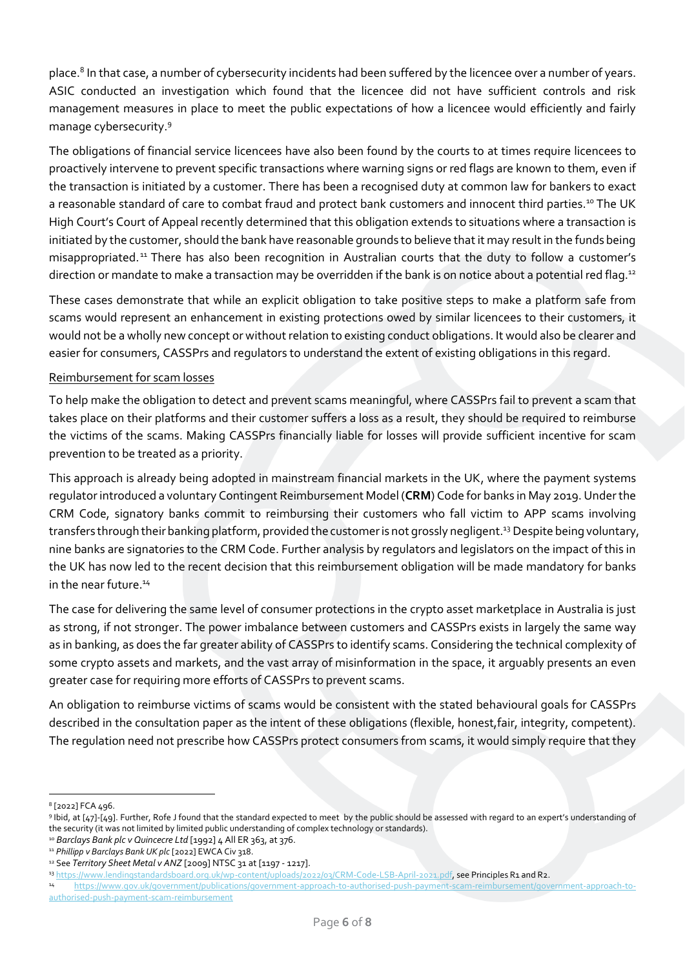place.<sup>8</sup> In that case, a number of cybersecurity incidents had been suffered by the licencee over a number of years. ASIC conducted an investigation which found that the licencee did not have sufficient controls and risk management measures in place to meet the public expectations of how a licencee would efficiently and fairly manage cybersecurity.<sup>9</sup>

The obligations of financial service licencees have also been found by the courts to at times require licencees to proactively intervene to prevent specific transactions where warning signs or red flags are known to them, even if the transaction is initiated by a customer. There has been a recognised duty at common law for bankers to exact a reasonable standard of care to combat fraud and protect bank customers and innocent third parties.<sup>10</sup> The UK High Court's Court of Appeal recently determined that this obligation extends to situations where a transaction is initiated by the customer, should the bank have reasonable grounds to believe that it may result in the funds being misappropriated. <sup>11</sup> There has also been recognition in Australian courts that the duty to follow a customer's direction or mandate to make a transaction may be overridden if the bank is on notice about a potential red flag.<sup>12</sup>

These cases demonstrate that while an explicit obligation to take positive steps to make a platform safe from scams would represent an enhancement in existing protections owed by similar licencees to their customers, it would not be a wholly new concept or without relation to existing conduct obligations. It would also be clearer and easier for consumers, CASSPrs and regulators to understand the extent of existing obligations in this regard.

#### Reimbursement for scam losses

To help make the obligation to detect and prevent scams meaningful, where CASSPrs fail to prevent a scam that takes place on their platforms and their customer suffers a loss as a result, they should be required to reimburse the victims of the scams. Making CASSPrs financially liable for losses will provide sufficient incentive for scam prevention to be treated as a priority.

This approach is already being adopted in mainstream financial markets in the UK, where the payment systems regulator introduced a voluntary Contingent Reimbursement Model (**CRM**) Code for banks in May 2019.Under the CRM Code, signatory banks commit to reimbursing their customers who fall victim to APP scams involving transfers through their banking platform, provided the customer is not grossly negligent.<sup>13</sup> Despite being voluntary, nine banks are signatories to the CRM Code. Further analysis by regulators and legislators on the impact of this in the UK has now led to the recent decision that this reimbursement obligation will be made mandatory for banks in the near future.<sup>14</sup>

The case for delivering the same level of consumer protections in the crypto asset marketplace in Australia is just as strong, if not stronger. The power imbalance between customers and CASSPrs exists in largely the same way as in banking, as does the far greater ability of CASSPrs to identify scams. Considering the technical complexity of some crypto assets and markets, and the vast array of misinformation in the space, it arguably presents an even greater case for requiring more efforts of CASSPrs to prevent scams.

An obligation to reimburse victims of scams would be consistent with the stated behavioural goals for CASSPrs described in the consultation paper as the intent of these obligations (flexible, honest,fair, integrity, competent). The regulation need not prescribe how CASSPrs protect consumers from scams, it would simply require that they

<sup>8</sup> [2022] FCA 496.

<sup>9</sup> Ibid, at [47]-[49]. Further, Rofe J found that the standard expected to meet by the public should be assessed with regard to an expert's understanding of the security (it was not limited by limited public understanding of complex technology or standards).

<sup>10</sup> *Barclays Bank plc v Quincecre Ltd* [1992] 4 All ER 363, at 376.

<sup>11</sup> *Phillipp v Barclays Bank UK plc* [2022] EWCA Civ 318.

<sup>12</sup> See *Territory Sheet Metal v ANZ* [2009] NTSC 31 at [1197 - 1217].

<sup>13</sup> [https://www.lendingstandardsboard.org.uk/wp-content/uploads/2022/03/CRM-Code-LSB-April-2021.pdf,](https://www.lendingstandardsboard.org.uk/wp-content/uploads/2022/03/CRM-Code-LSB-April-2021.pdf) see Principles R1 and R2.

<sup>14</sup> [https://www.gov.uk/government/publications/government-approach-to-authorised-push-payment-scam-reimbursement/government-approach-to](https://www.gov.uk/government/publications/government-approach-to-authorised-push-payment-scam-reimbursement/government-approach-to-authorised-push-payment-scam-reimbursement)[authorised-push-payment-scam-reimbursement](https://www.gov.uk/government/publications/government-approach-to-authorised-push-payment-scam-reimbursement/government-approach-to-authorised-push-payment-scam-reimbursement)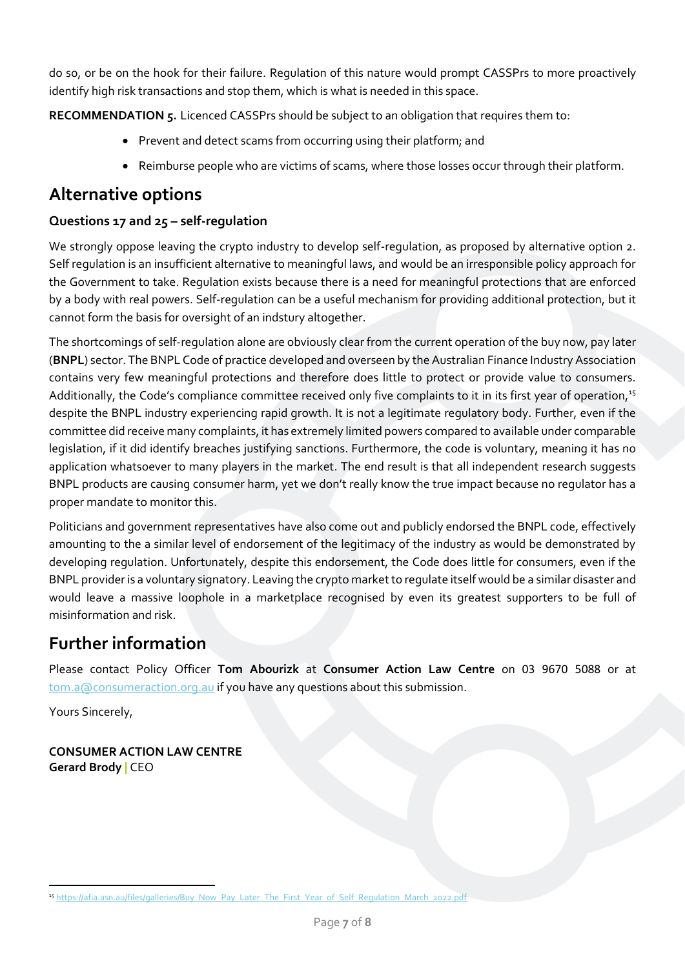do so, or be on the hook for their failure. Regulation of this nature would prompt CASSPrs to more proactively identify high risk transactions and stop them, which is what is needed in this space.

<span id="page-6-1"></span><span id="page-6-0"></span>**RECOMMENDATION 5.** Licenced CASSPrs should be subject to an obligation that requires them to:

- Prevent and detect scams from occurring using their platform; and
- Reimburse people who are victims of scams, where those losses occur through their platform.

### <span id="page-6-2"></span>**Alternative options**

#### **Questions 17 and 25 – self-regulation**

We strongly oppose leaving the crypto industry to develop self-regulation, as proposed by alternative option 2. Self regulation is an insufficient alternative to meaningful laws, and would be an irresponsible policy approach for the Government to take. Regulation exists because there is a need for meaningful protections that are enforced by a body with real powers. Self-regulation can be a useful mechanism for providing additional protection, but it cannot form the basis for oversight of an indstury altogether.

The shortcomings of self-regulation alone are obviously clear from the current operation of the buy now, pay later (**BNPL**) sector. The BNPL Code of practice developed and overseen by the Australian Finance Industry Association contains very few meaningful protections and therefore does little to protect or provide value to consumers. Additionally, the Code's compliance committee received only five complaints to it in its first year of operation,<sup>15</sup> despite the BNPL industry experiencing rapid growth. It is not a legitimate regulatory body. Further, even if the committee did receive many complaints, it has extremely limited powers compared to available under comparable legislation, if it did identify breaches justifying sanctions. Furthermore, the code is voluntary, meaning it has no application whatsoever to many players in the market. The end result is that all independent research suggests BNPL products are causing consumer harm, yet we don't really know the true impact because no regulator has a proper mandate to monitor this.

Politicians and government representatives have also come out and publicly endorsed the BNPL code, effectively amounting to the a similar level of endorsement of the legitimacy of the industry as would be demonstrated by developing regulation. Unfortunately, despite this endorsement, the Code does little for consumers, even if the BNPL provider is a voluntary signatory. Leaving the crypto market to regulate itself would be a similar disaster and would leave a massive loophole in a marketplace recognised by even its greatest supporters to be full of misinformation and risk.

## **Further information**

Please contact Policy Officer **Tom Abourizk** at **Consumer Action Law Centre** on 03 9670 5088 or at [tom.a@consumeraction.org.au](mailto:tom.a@consumeraction.org.au) if you have any questions about this submission.

Yours Sincerely,

**CONSUMER ACTION LAW CENTRE Gerard Brody |** CEO

<sup>15</sup> [https://afia.asn.au/files/galleries/Buy\\_Now\\_Pay\\_Later\\_The\\_First\\_Year\\_of\\_Self\\_Regulation\\_March\\_2022.pdf](https://afia.asn.au/files/galleries/Buy_Now_Pay_Later_The_First_Year_of_Self_Regulation_March_2022.pdf)